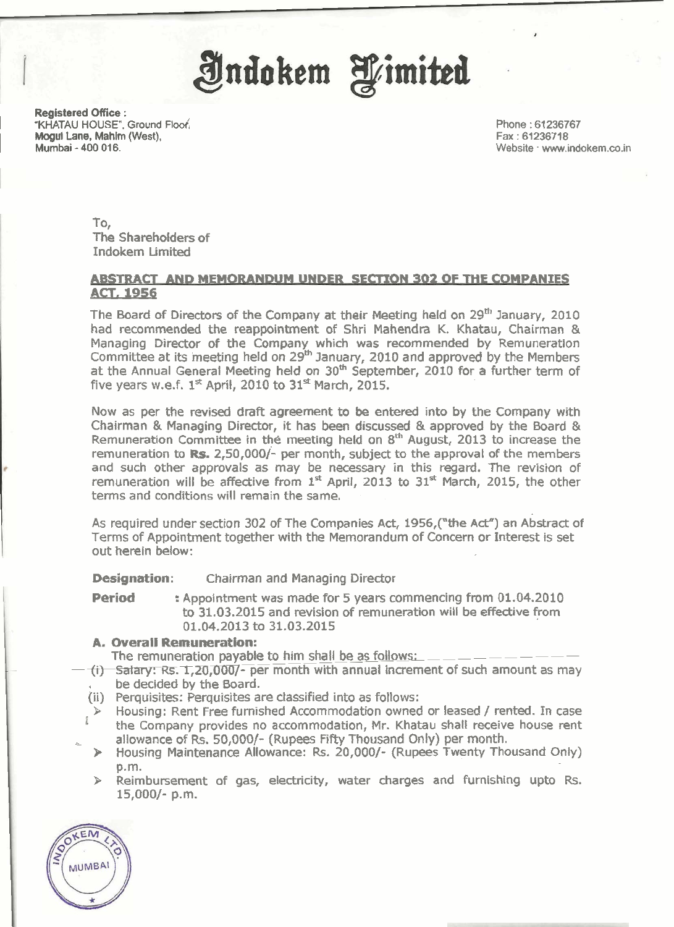

**Registered Office :**<br>"KHATAU HOUSE", Ground Floof. M<mark>ogul Lane, Mahi</mark>m (West),<br>Mumbai - 400 016.

**Phone** : **<sup>61236767</sup> Fax** : **<sup>61236718</sup>** Website . www.indokem.co.in

To, The Shareholders of Indokem Limited

## **ABSTRACT AND MEMORANDUM UNDER SECTION 302 OF THE COMPANIES ACT. 1956**

The Board of Directors of the Company at their Meetlng held on **29"** January, **2010**  had recommended the reappointment of Shri Mahendra K. Khatau, Chairman & Managing Director of the Company which was recommended by Remuneration Committee at its meeting held on **29%** January, **2010** and approved by the Members at the Annual General Meeting held on **30m** September, **2010** for a further term of five years w.e.f. **1"** April, **2010** to **31\*** March, **2015.** 

Now as per the revised draft agreement to be entered into by the Company with Chairman & Managing Director, it has been discussed & approved by the Board & Remuneration Committee in the meeting held on **sth** August, **2013** to increase the remuneration to **RE. 2,50,000/-** per month, subject to the approval of the members and such other approvals as may be necessary in this regard. The revision of remuneration will be affective from **I\*** April, **2013** to **31\*** March, **2015,** the other terms and conditions will remain the same.

As required under section 302 of The Companies Act, 1956, ("the Act") an Abstract of Terms of Appointment together with the Memorandum of Concern or Interest is set out herein below:

**Designation:** Chairman and Managing Director

**Period** : Appointment was made for **5** years commencing from **01.04.2010**  to **31.03.2015** and revision of remuneration will be effective from **01.04.2013** to **31.03.2015** 

### **A. Overall Remuneration:**

The remuneration payable to him shall be as follows:

- **(i) Salary: Rs. 1,20,000/- per month with annual increment of such amount as may** . be decided by the Board.
- (ii) Perquisites: Perquisites are classified into as follows:
- **b** Housing: Rent Free furnished Accommodation owned or leased **1** rented. In case the Company provides no accommodation, Mr. Khatau shall receive house rent L allowance of **Rs. 50,0001-** (Rupees **Fifty** Thousand Only) per month.
- > Housing Maintenance Allowance: **Rs. 20,000/-** (Rupees Twenty Thousand Only) p.m.
- > Reimbursement of gas, electricity, water charges and furnishing upto **Rs. 15,0001-** p.m.